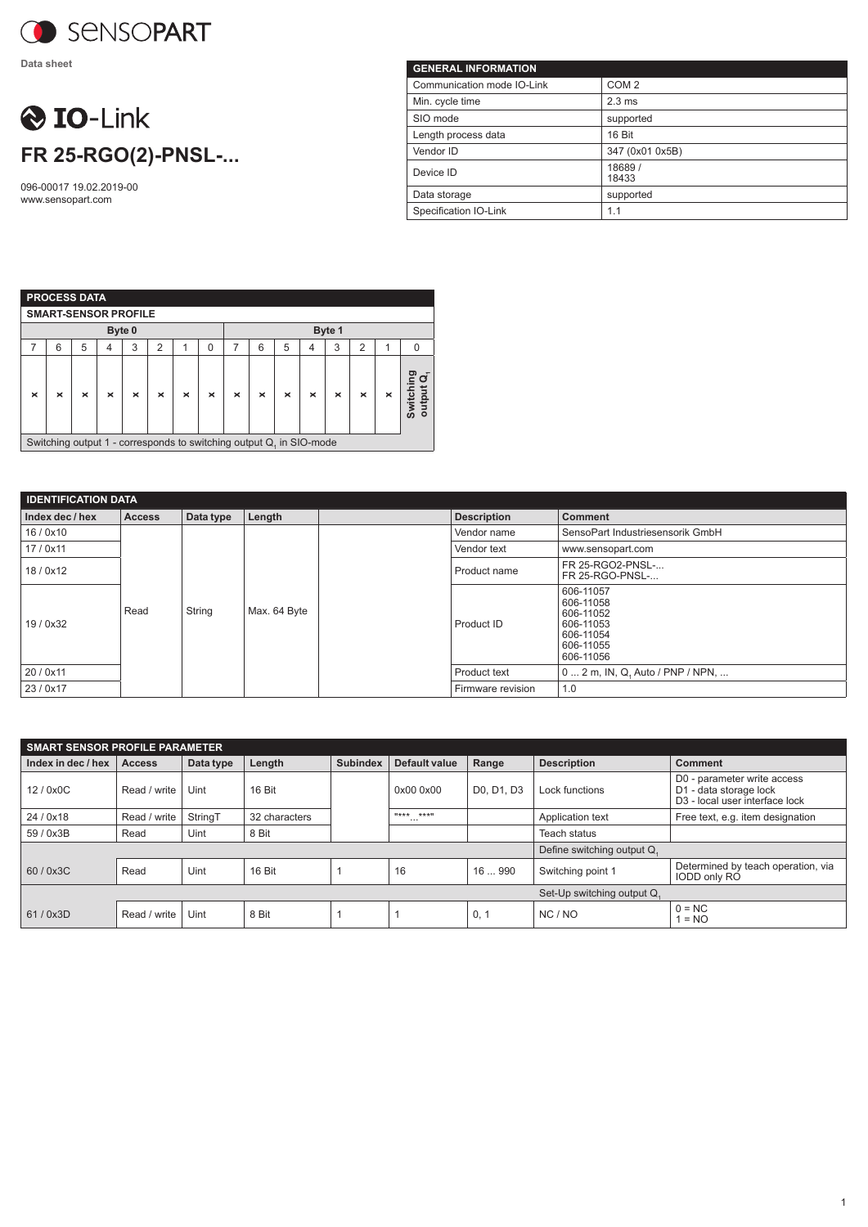

**Data sheet**

## **O** IO-Link **FR 25-RGO(2)-PNSL-...**

096-00017 19.02.2019-00 www.sensopart.com

| <b>GENERAL INFORMATION</b> |                  |  |  |  |  |  |  |  |
|----------------------------|------------------|--|--|--|--|--|--|--|
| Communication mode IO-Link | COM <sub>2</sub> |  |  |  |  |  |  |  |
| Min. cycle time            | $2.3$ ms         |  |  |  |  |  |  |  |
| SIO mode                   | supported        |  |  |  |  |  |  |  |
| Length process data        | 16 Bit           |  |  |  |  |  |  |  |
| Vendor ID                  | 347 (0x01 0x5B)  |  |  |  |  |  |  |  |
| Device ID                  | 18689/<br>18433  |  |  |  |  |  |  |  |
| Data storage               | supported        |  |  |  |  |  |  |  |
| Specification IO-Link      | 1.1              |  |  |  |  |  |  |  |

|                             | <b>PROCESS DATA</b>                                                                                                                         |   |   |   |                |   |   |   |   |   |   |   |                |   |   |
|-----------------------------|---------------------------------------------------------------------------------------------------------------------------------------------|---|---|---|----------------|---|---|---|---|---|---|---|----------------|---|---|
| <b>SMART-SENSOR PROFILE</b> |                                                                                                                                             |   |   |   |                |   |   |   |   |   |   |   |                |   |   |
|                             | Byte 1<br>Byte 0                                                                                                                            |   |   |   |                |   |   |   |   |   |   |   |                |   |   |
| 7                           | 6                                                                                                                                           | 5 | 4 | 3 | $\overline{2}$ | 1 | 0 | 7 | 6 | 5 | 4 | 3 | $\mathfrak{p}$ | 1 | 0 |
| ×                           | ဥ<br>$\overline{ }$<br>$\sigma$<br>Switchir<br>output (<br>×<br>×<br>×<br>$\times$<br>×<br>×<br>×<br>×<br>×<br>$\times$<br>×<br>×<br>×<br>× |   |   |   |                |   |   |   |   |   |   |   |                |   |   |
|                             | Switching output 1 - corresponds to switching output Q, in SIO-mode                                                                         |   |   |   |                |   |   |   |   |   |   |   |                |   |   |

**IDENTIFICATION DATA Index dec / hex Access Data type Length Description Description Comment** 16 / 0x10 Read String Max. 64 Byte Vendor name SensoPart Industriesensorik GmbH 17 / 0x11 Vendor text www.sensopart.com The state of the state of the state of the state of the state of the state of the state of the state of the state of the state of the state of the state of the state of the state of the state of the state of the state of t FR 25-RGO-PNSL-... 19 / 0x32 Product ID 606-11057 606-11058 606-11052 606-11053 606-11054 606-11055 606-11056 20 / 0x11 **Product text**  $\begin{bmatrix} 0 & ... & 2 \end{bmatrix}$  ... 2 m, IN, Q<sub>1</sub> Auto / PNP / NPN, ... 23 / 0x17 **Firmware revision** 1.0

| <b>SMART SENSOR PROFILE PARAMETER</b> |               |           |               |                 |                           |            |                    |                                                                                                     |  |
|---------------------------------------|---------------|-----------|---------------|-----------------|---------------------------|------------|--------------------|-----------------------------------------------------------------------------------------------------|--|
| Index in dec / hex                    | <b>Access</b> | Data type | Length        | <b>Subindex</b> | Default value             | Range      | <b>Description</b> | Comment                                                                                             |  |
| 12/0x0C                               | Read / write  | Uint      | 16 Bit        |                 | 0x00 0x00                 | D0, D1, D3 | Lock functions     | D0 - parameter write access<br>D1 - data storage lock<br>D <sub>3</sub> - local user interface lock |  |
| 24 / 0x18                             | Read / write  | StringT   | 32 characters |                 | $"***$ ***"<br>$\cdots$   |            | Application text   | Free text, e.g. item designation                                                                    |  |
| 59 / 0x3B                             | Read          | Uint      | 8 Bit         |                 |                           |            | Teach status       |                                                                                                     |  |
|                                       |               |           |               |                 | Define switching output Q |            |                    |                                                                                                     |  |
| 60/0x3C                               | Read          | Uint      | 16 Bit        |                 | 16                        | 16  990    | Switching point 1  | Determined by teach operation, via<br><b>IODD only RO</b>                                           |  |
| Set-Up switching output Q             |               |           |               |                 |                           |            |                    |                                                                                                     |  |
| 61/0x3D                               | Read / write  | Uint      | 8 Bit         |                 |                           | 0, 1       | NC/NO              | $0 = NC$<br>$= NO$                                                                                  |  |